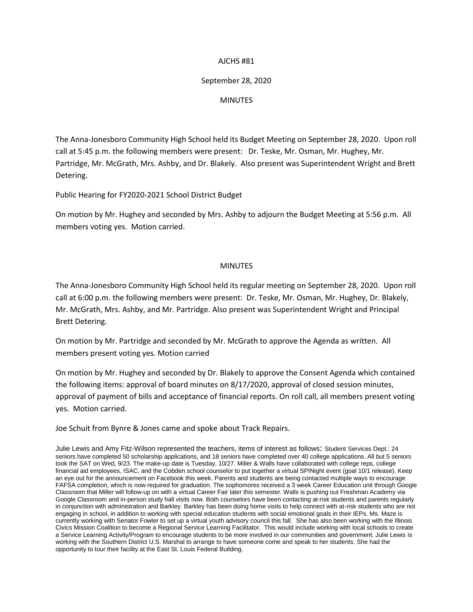## AJCHS #81

## September 28, 2020

## MINUTES

The Anna-Jonesboro Community High School held its Budget Meeting on September 28, 2020. Upon roll call at 5:45 p.m. the following members were present: Dr. Teske, Mr. Osman, Mr. Hughey, Mr. Partridge, Mr. McGrath, Mrs. Ashby, and Dr. Blakely. Also present was Superintendent Wright and Brett Detering.

Public Hearing for FY2020-2021 School District Budget

On motion by Mr. Hughey and seconded by Mrs. Ashby to adjourn the Budget Meeting at 5:56 p.m. All members voting yes. Motion carried.

## MINUTES

The Anna-Jonesboro Community High School held its regular meeting on September 28, 2020. Upon roll call at 6:00 p.m. the following members were present: Dr. Teske, Mr. Osman, Mr. Hughey, Dr. Blakely, Mr. McGrath, Mrs. Ashby, and Mr. Partridge. Also present was Superintendent Wright and Principal Brett Detering.

On motion by Mr. Partridge and seconded by Mr. McGrath to approve the Agenda as written. All members present voting yes. Motion carried

On motion by Mr. Hughey and seconded by Dr. Blakely to approve the Consent Agenda which contained the following items: approval of board minutes on 8/17/2020, approval of closed session minutes, approval of payment of bills and acceptance of financial reports. On roll call, all members present voting yes. Motion carried.

Joe Schuit from Bynre & Jones came and spoke about Track Repairs.

Julie Lewis and Amy Fitz-Wilson represented the teachers, items of interest as follows: Student Services Dept.: 24 seniors have completed 50 scholarship applications, and 18 seniors have completed over 40 college applications. All but 5 seniors took the SAT on Wed, 9/23. The make-up date is Tuesday, 10/27. Miller & Walls have collaborated with college reps, college financial aid employees, ISAC, and the Cobden school counselor to put together a virtual SPINight event (goal 10/1 release). Keep an eye out for the announcement on Facebook this week. Parents and students are being contacted multiple ways to encourage FAFSA completion, which is now required for graduation. The sophomores received a 3 week Career Education unit through Google Classroom that Miller will follow-up on with a virtual Career Fair later this semester. Walls is pushing out Freshman Academy via Google Classroom and in-person study hall visits now. Both counselors have been contacting at-risk students and parents regularly in conjunction with administration and Barkley. Barkley has been doing home visits to help connect with at-risk students who are not engaging in school, in addition to working with special education students with social emotional goals in their IEPs. Ms. Maze is currently working with Senator Fowler to set up a virtual youth advisory council this fall. She has also been working with the Illinois Civics Mission Coalition to become a Regional Service Learning Facilitator. This would include working with local schools to create a Service Learning Activity/Program to encourage students to be more involved in our communities and government. Julie Lewis is working with the Southern District U.S. Marshal to arrange to have someone come and speak to her students. She had the opportunity to tour their facility at the East St. Louis Federal Building.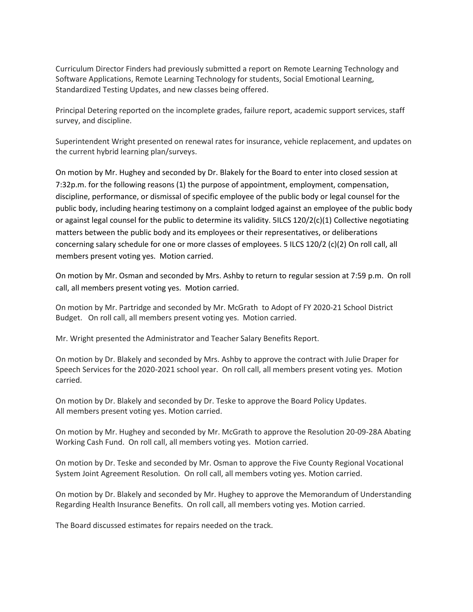Curriculum Director Finders had previously submitted a report on Remote Learning Technology and Software Applications, Remote Learning Technology for students, Social Emotional Learning, Standardized Testing Updates, and new classes being offered.

Principal Detering reported on the incomplete grades, failure report, academic support services, staff survey, and discipline.

Superintendent Wright presented on renewal rates for insurance, vehicle replacement, and updates on the current hybrid learning plan/surveys.

On motion by Mr. Hughey and seconded by Dr. Blakely for the Board to enter into closed session at 7:32p.m. for the following reasons (1) the purpose of appointment, employment, compensation, discipline, performance, or dismissal of specific employee of the public body or legal counsel for the public body, including hearing testimony on a complaint lodged against an employee of the public body or against legal counsel for the public to determine its validity. 5ILCS 120/2(c)(1) Collective negotiating matters between the public body and its employees or their representatives, or deliberations concerning salary schedule for one or more classes of employees. 5 ILCS 120/2 (c)(2) On roll call, all members present voting yes. Motion carried.

On motion by Mr. Osman and seconded by Mrs. Ashby to return to regular session at 7:59 p.m. On roll call, all members present voting yes. Motion carried.

On motion by Mr. Partridge and seconded by Mr. McGrath to Adopt of FY 2020-21 School District Budget. On roll call, all members present voting yes. Motion carried.

Mr. Wright presented the Administrator and Teacher Salary Benefits Report.

On motion by Dr. Blakely and seconded by Mrs. Ashby to approve the contract with Julie Draper for Speech Services for the 2020-2021 school year. On roll call, all members present voting yes. Motion carried.

On motion by Dr. Blakely and seconded by Dr. Teske to approve the Board Policy Updates. All members present voting yes. Motion carried.

On motion by Mr. Hughey and seconded by Mr. McGrath to approve the Resolution 20-09-28A Abating Working Cash Fund. On roll call, all members voting yes. Motion carried.

On motion by Dr. Teske and seconded by Mr. Osman to approve the Five County Regional Vocational System Joint Agreement Resolution. On roll call, all members voting yes. Motion carried.

On motion by Dr. Blakely and seconded by Mr. Hughey to approve the Memorandum of Understanding Regarding Health Insurance Benefits. On roll call, all members voting yes. Motion carried.

The Board discussed estimates for repairs needed on the track.